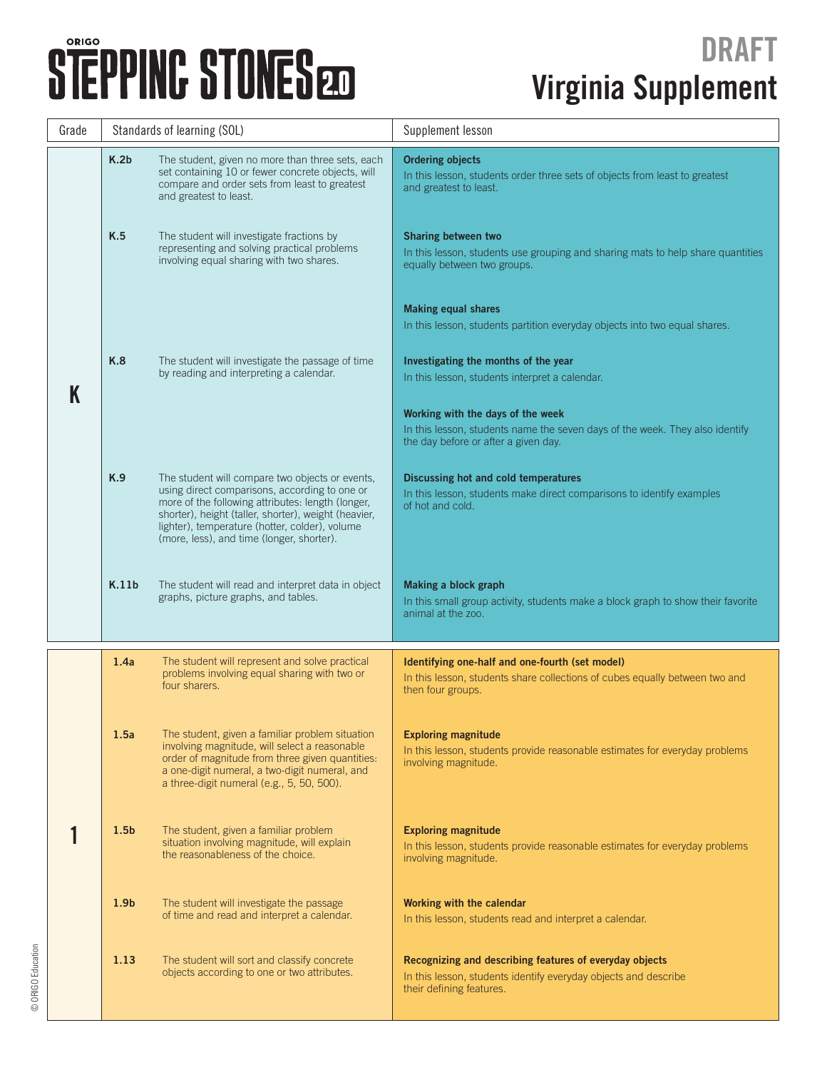© ORIGO Education

© ORIGO Education

| Grade | Standards of learning (SOL) |                                                                                                                                                                                                                                                                                                              | Supplement lesson                                                                                                                                         |  |
|-------|-----------------------------|--------------------------------------------------------------------------------------------------------------------------------------------------------------------------------------------------------------------------------------------------------------------------------------------------------------|-----------------------------------------------------------------------------------------------------------------------------------------------------------|--|
|       | K.2 <sub>b</sub>            | The student, given no more than three sets, each<br>set containing 10 or fewer concrete objects, will<br>compare and order sets from least to greatest<br>and greatest to least.                                                                                                                             | <b>Ordering objects</b><br>In this lesson, students order three sets of objects from least to greatest<br>and greatest to least.                          |  |
|       | K.5                         | The student will investigate fractions by<br>representing and solving practical problems<br>involving equal sharing with two shares.                                                                                                                                                                         | Sharing between two<br>In this lesson, students use grouping and sharing mats to help share quantities<br>equally between two groups.                     |  |
|       |                             |                                                                                                                                                                                                                                                                                                              | <b>Making equal shares</b><br>In this lesson, students partition everyday objects into two equal shares.                                                  |  |
|       | K.8                         | The student will investigate the passage of time<br>by reading and interpreting a calendar.                                                                                                                                                                                                                  | Investigating the months of the year<br>In this lesson, students interpret a calendar.                                                                    |  |
|       |                             |                                                                                                                                                                                                                                                                                                              | Working with the days of the week<br>In this lesson, students name the seven days of the week. They also identify<br>the day before or after a given day. |  |
|       | K.9                         | The student will compare two objects or events,<br>using direct comparisons, according to one or<br>more of the following attributes: length (longer,<br>shorter), height (taller, shorter), weight (heavier,<br>lighter), temperature (hotter, colder), volume<br>(more, less), and time (longer, shorter). | Discussing hot and cold temperatures<br>In this lesson, students make direct comparisons to identify examples<br>of hot and cold.                         |  |
|       | K.11 <sub>b</sub>           | The student will read and interpret data in object<br>graphs, picture graphs, and tables.                                                                                                                                                                                                                    | Making a block graph<br>In this small group activity, students make a block graph to show their favorite<br>animal at the zoo.                            |  |
|       | 1.4a                        | The student will represent and solve practical<br>problems involving equal sharing with two or<br>four sharers.                                                                                                                                                                                              | Identifying one-half and one-fourth (set model)<br>In this lesson, students share collections of cubes equally between two and<br>then four groups.       |  |
|       | 1.5a                        | The student, given a familiar problem situation<br>involving magnitude, will select a reasonable<br>order of magnitude from three given quantities:<br>a one-digit numeral, a two-digit numeral, and<br>a three-digit numeral (e.g., 5, 50, 500).                                                            | <b>Exploring magnitude</b><br>In this lesson, students provide reasonable estimates for everyday problems<br>involving magnitude.                         |  |
|       | 1.5 <sub>b</sub>            | The student, given a familiar problem<br>situation involving magnitude, will explain<br>the reasonableness of the choice.                                                                                                                                                                                    | <b>Exploring magnitude</b><br>In this lesson, students provide reasonable estimates for everyday problems<br>involving magnitude.                         |  |
|       | 1.9 <sub>b</sub>            | The student will investigate the passage<br>of time and read and interpret a calendar.                                                                                                                                                                                                                       | Working with the calendar<br>In this lesson, students read and interpret a calendar.                                                                      |  |
|       | 1.13                        | The student will sort and classify concrete<br>objects according to one or two attributes.                                                                                                                                                                                                                   | Recognizing and describing features of everyday objects<br>In this lesson, students identify everyday objects and describe<br>their defining features.    |  |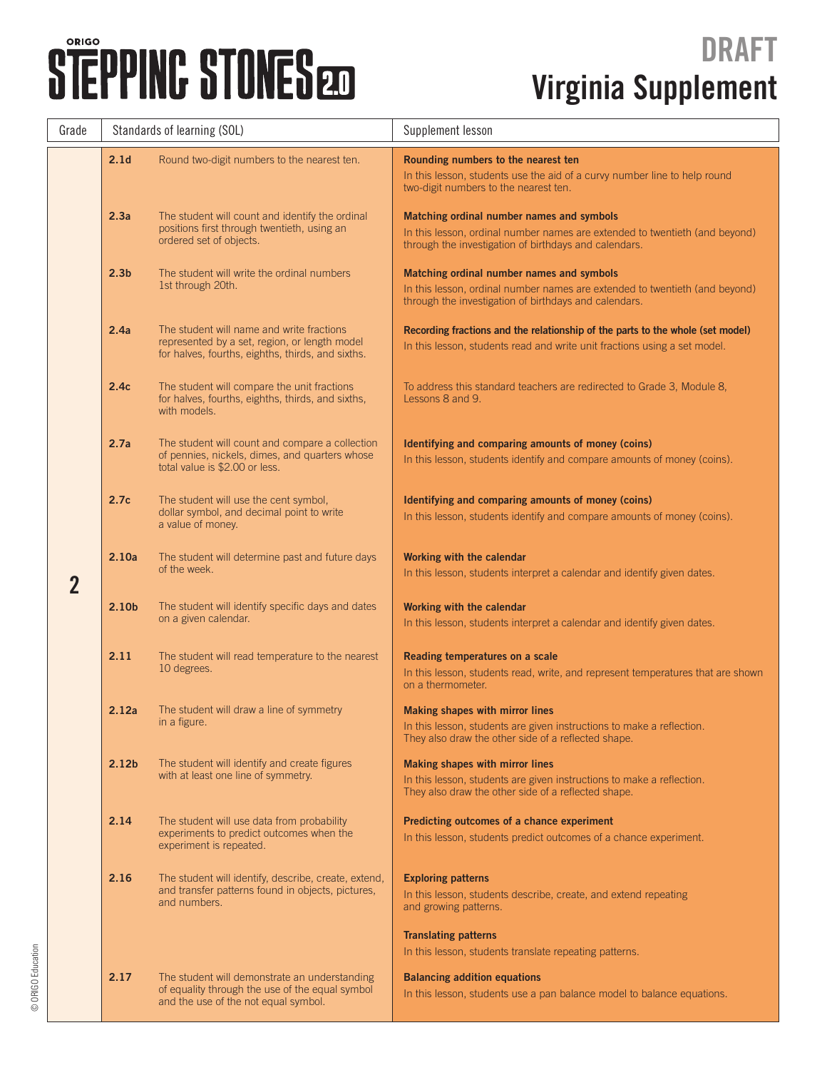| Grade          | Standards of learning (SOL) |                                                                                                                                                 | Supplement lesson                                                                                                                                                                 |  |
|----------------|-----------------------------|-------------------------------------------------------------------------------------------------------------------------------------------------|-----------------------------------------------------------------------------------------------------------------------------------------------------------------------------------|--|
|                | 2.1 <sub>d</sub>            | Round two-digit numbers to the nearest ten.                                                                                                     | Rounding numbers to the nearest ten<br>In this lesson, students use the aid of a curvy number line to help round<br>two-digit numbers to the nearest ten.                         |  |
|                | 2.3a                        | The student will count and identify the ordinal<br>positions first through twentieth, using an<br>ordered set of objects.                       | Matching ordinal number names and symbols<br>In this lesson, ordinal number names are extended to twentieth (and beyond)<br>through the investigation of birthdays and calendars. |  |
|                | 2.3 <sub>b</sub>            | The student will write the ordinal numbers<br>1st through 20th.                                                                                 | Matching ordinal number names and symbols<br>In this lesson, ordinal number names are extended to twentieth (and beyond)<br>through the investigation of birthdays and calendars. |  |
|                | 2.4a                        | The student will name and write fractions<br>represented by a set, region, or length model<br>for halves, fourths, eighths, thirds, and sixths. | Recording fractions and the relationship of the parts to the whole (set model)<br>In this lesson, students read and write unit fractions using a set model.                       |  |
|                | 2.4c                        | The student will compare the unit fractions<br>for halves, fourths, eighths, thirds, and sixths,<br>with models.                                | To address this standard teachers are redirected to Grade 3, Module 8,<br>Lessons 8 and 9.                                                                                        |  |
|                | 2.7a                        | The student will count and compare a collection<br>of pennies, nickels, dimes, and quarters whose<br>total value is \$2,00 or less.             | Identifying and comparing amounts of money (coins)<br>In this lesson, students identify and compare amounts of money (coins).                                                     |  |
| $\overline{2}$ | 2.7c                        | The student will use the cent symbol,<br>dollar symbol, and decimal point to write<br>a value of money.                                         | Identifying and comparing amounts of money (coins)<br>In this lesson, students identify and compare amounts of money (coins).                                                     |  |
|                | 2.10a                       | The student will determine past and future days<br>of the week.                                                                                 | Working with the calendar<br>In this lesson, students interpret a calendar and identify given dates.                                                                              |  |
|                | 2.10 <sub>b</sub>           | The student will identify specific days and dates<br>on a given calendar.                                                                       | Working with the calendar<br>In this lesson, students interpret a calendar and identify given dates.                                                                              |  |
|                | 2.11                        | The student will read temperature to the nearest<br>10 degrees.                                                                                 | Reading temperatures on a scale<br>In this lesson, students read, write, and represent temperatures that are shown<br>on a thermometer.                                           |  |
|                | 2.12a                       | The student will draw a line of symmetry<br>in a figure.                                                                                        | Making shapes with mirror lines<br>In this lesson, students are given instructions to make a reflection.<br>They also draw the other side of a reflected shape.                   |  |
|                | 2.12 <sub>b</sub>           | The student will identify and create figures<br>with at least one line of symmetry.                                                             | Making shapes with mirror lines<br>In this lesson, students are given instructions to make a reflection.<br>They also draw the other side of a reflected shape.                   |  |
|                | 2.14                        | The student will use data from probability<br>experiments to predict outcomes when the<br>experiment is repeated.                               | Predicting outcomes of a chance experiment<br>In this lesson, students predict outcomes of a chance experiment.                                                                   |  |
|                | 2.16                        | The student will identify, describe, create, extend,<br>and transfer patterns found in objects, pictures,<br>and numbers.                       | <b>Exploring patterns</b><br>In this lesson, students describe, create, and extend repeating<br>and growing patterns.                                                             |  |
|                |                             |                                                                                                                                                 | <b>Translating patterns</b><br>In this lesson, students translate repeating patterns.                                                                                             |  |
|                | 2.17                        | The student will demonstrate an understanding<br>of equality through the use of the equal symbol<br>and the use of the not equal symbol.        | <b>Balancing addition equations</b><br>In this lesson, students use a pan balance model to balance equations.                                                                     |  |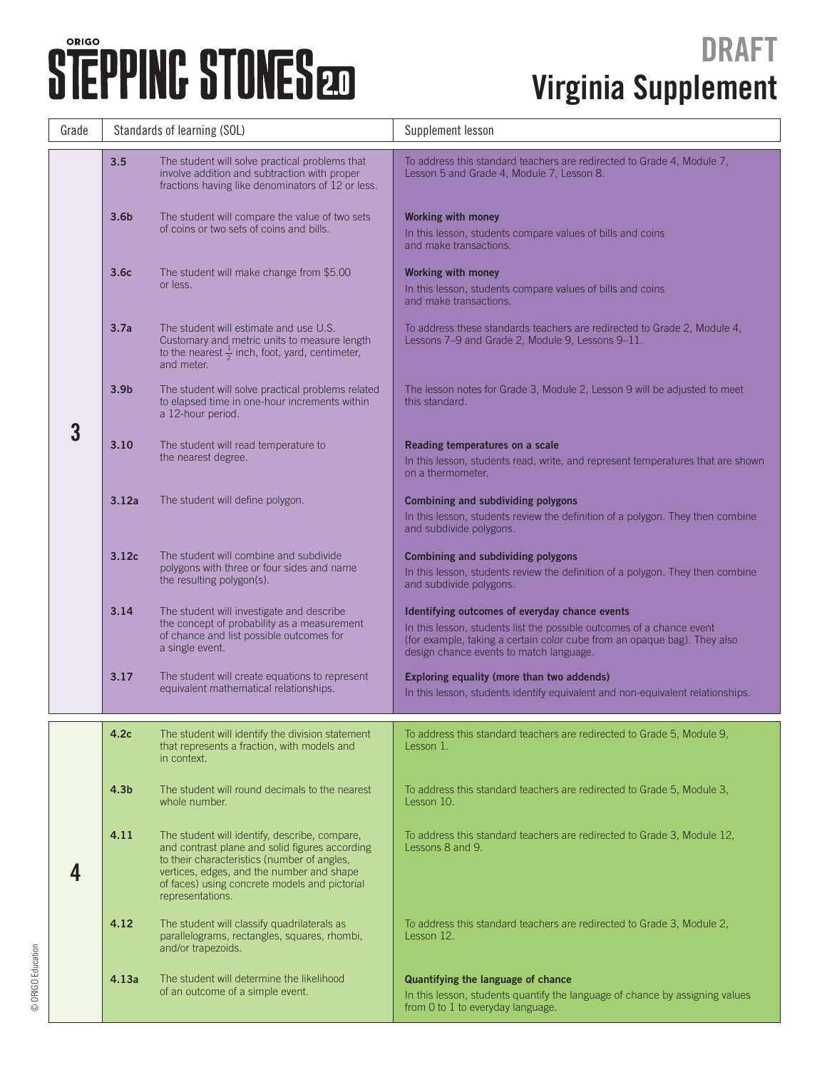| Grade | Standards of learning (SOL) |                                                                                                                                                                                                                                                                  | Supplement lesson                                                                                                                                                                                                                              |  |
|-------|-----------------------------|------------------------------------------------------------------------------------------------------------------------------------------------------------------------------------------------------------------------------------------------------------------|------------------------------------------------------------------------------------------------------------------------------------------------------------------------------------------------------------------------------------------------|--|
|       | 3.5                         | The student will solve practical problems that<br>involve addition and subtraction with proper<br>fractions having like denominators of 12 or less.                                                                                                              | To address this standard teachers are redirected to Grade 4, Module 7,<br>Lesson 5 and Grade 4, Module 7, Lesson 8.                                                                                                                            |  |
|       | 3.6 <sub>b</sub>            | The student will compare the value of two sets<br>of coins or two sets of coins and bills.                                                                                                                                                                       | <b>Working with money</b><br>In this lesson, students compare values of bills and coins<br>and make transactions.                                                                                                                              |  |
|       | 3.6 <sub>c</sub>            | The student will make change from \$5.00<br>or less.                                                                                                                                                                                                             | <b>Working with money</b><br>In this lesson, students compare values of bills and coins<br>and make transactions.                                                                                                                              |  |
|       | 3.7a                        | The student will estimate and use U.S.<br>Customary and metric units to measure length<br>to the nearest $\frac{1}{2}$ inch, foot, yard, centimeter,<br>and meter.                                                                                               | To address these standards teachers are redirected to Grade 2, Module 4,<br>Lessons 7-9 and Grade 2, Module 9, Lessons 9-11.                                                                                                                   |  |
|       | 3.9 <sub>b</sub>            | The student will solve practical problems related<br>to elapsed time in one-hour increments within<br>a 12-hour period.                                                                                                                                          | The lesson notes for Grade 3, Module 2, Lesson 9 will be adjusted to meet<br>this standard.                                                                                                                                                    |  |
| 3     | 3.10                        | The student will read temperature to<br>the nearest degree.                                                                                                                                                                                                      | Reading temperatures on a scale<br>In this lesson, students read, write, and represent temperatures that are shown<br>on a thermometer.                                                                                                        |  |
|       | 3.12a                       | The student will define polygon.                                                                                                                                                                                                                                 | <b>Combining and subdividing polygons</b><br>In this lesson, students review the definition of a polygon. They then combine<br>and subdivide polygons.                                                                                         |  |
|       | 3.12c                       | The student will combine and subdivide<br>polygons with three or four sides and name<br>the resulting polygon(s).                                                                                                                                                | Combining and subdividing polygons<br>In this lesson, students review the definition of a polygon. They then combine<br>and subdivide polygons.                                                                                                |  |
|       | 3.14                        | The student will investigate and describe<br>the concept of probability as a measurement<br>of chance and list possible outcomes for<br>a single event.                                                                                                          | Identifying outcomes of everyday chance events<br>In this lesson, students list the possible outcomes of a chance event<br>(for example, taking a certain color cube from an opaque bag). They also<br>design chance events to match language. |  |
|       | 3.17                        | The student will create equations to represent<br>equivalent mathematical relationships.                                                                                                                                                                         | Exploring equality (more than two addends)<br>In this lesson, students identify equivalent and non-equivalent relationships.                                                                                                                   |  |
|       | 4.2c                        | The student will identify the division statement<br>that represents a fraction, with models and<br>in context.                                                                                                                                                   | To address this standard teachers are redirected to Grade 5, Module 9,<br>Lesson 1.                                                                                                                                                            |  |
|       | 4.3 <sub>b</sub>            | The student will round decimals to the nearest<br>whole number.                                                                                                                                                                                                  | To address this standard teachers are redirected to Grade 5, Module 3,<br>Lesson 10.                                                                                                                                                           |  |
|       | 4.11                        | The student will identify, describe, compare,<br>and contrast plane and solid figures according<br>to their characteristics (number of angles,<br>vertices, edges, and the number and shape<br>of faces) using concrete models and pictorial<br>representations. | To address this standard teachers are redirected to Grade 3, Module 12,<br>Lessons 8 and 9.                                                                                                                                                    |  |
|       | 4.12                        | The student will classify quadrilaterals as<br>parallelograms, rectangles, squares, rhombi,<br>and/or trapezoids.                                                                                                                                                | To address this standard teachers are redirected to Grade 3, Module 2,<br>Lesson 12.                                                                                                                                                           |  |
|       | 4.13a                       | The student will determine the likelihood<br>of an outcome of a simple event.                                                                                                                                                                                    | Quantifying the language of chance<br>In this lesson, students quantify the language of chance by assigning values<br>from 0 to 1 to everyday language.                                                                                        |  |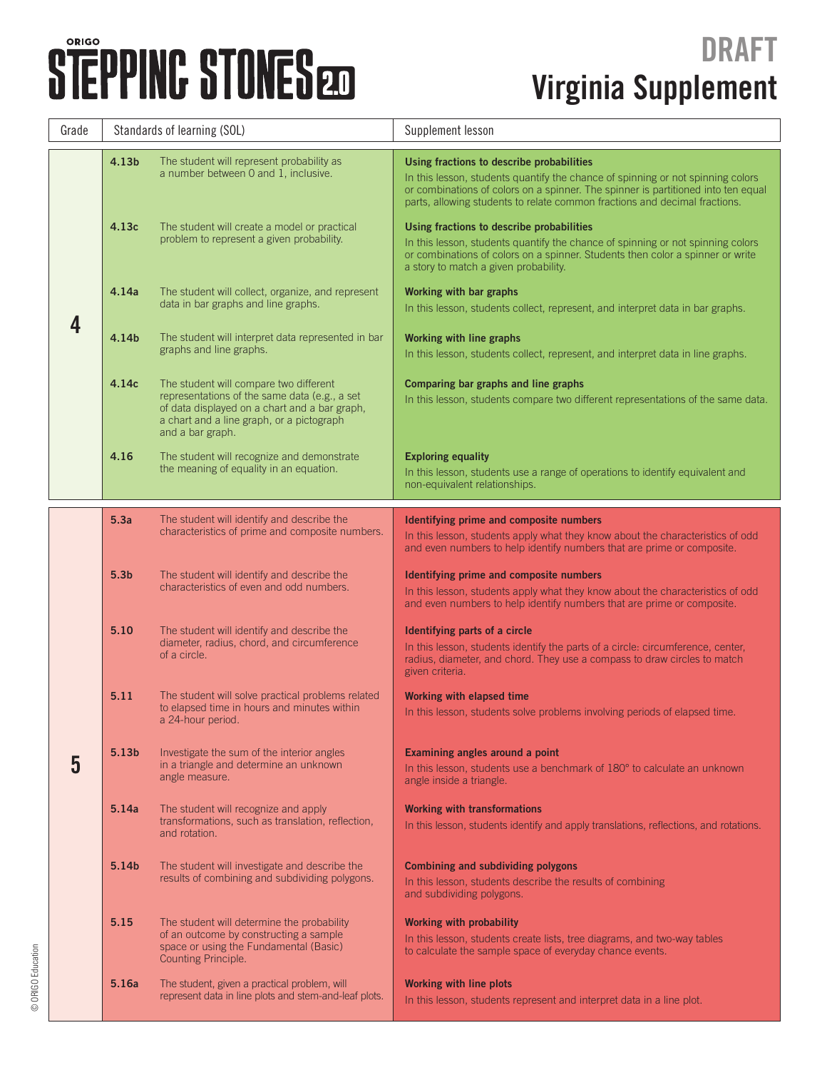| Grade | Standards of learning (SOL) |                                                                                                                                                                                                           | Supplement lesson                                                                                                                                                                                                                                                                               |  |
|-------|-----------------------------|-----------------------------------------------------------------------------------------------------------------------------------------------------------------------------------------------------------|-------------------------------------------------------------------------------------------------------------------------------------------------------------------------------------------------------------------------------------------------------------------------------------------------|--|
|       | 4.13b                       | The student will represent probability as<br>a number between 0 and 1, inclusive.                                                                                                                         | Using fractions to describe probabilities<br>In this lesson, students quantify the chance of spinning or not spinning colors<br>or combinations of colors on a spinner. The spinner is partitioned into ten equal<br>parts, allowing students to relate common fractions and decimal fractions. |  |
|       | 4.13c                       | The student will create a model or practical<br>problem to represent a given probability.                                                                                                                 | Using fractions to describe probabilities<br>In this lesson, students quantify the chance of spinning or not spinning colors<br>or combinations of colors on a spinner. Students then color a spinner or write<br>a story to match a given probability.                                         |  |
|       | 4.14a                       | The student will collect, organize, and represent<br>data in bar graphs and line graphs.                                                                                                                  | Working with bar graphs<br>In this lesson, students collect, represent, and interpret data in bar graphs.                                                                                                                                                                                       |  |
|       | 4.14b                       | The student will interpret data represented in bar<br>graphs and line graphs.                                                                                                                             | Working with line graphs<br>In this lesson, students collect, represent, and interpret data in line graphs.                                                                                                                                                                                     |  |
|       | 4.14c                       | The student will compare two different<br>representations of the same data (e.g., a set<br>of data displayed on a chart and a bar graph,<br>a chart and a line graph, or a pictograph<br>and a bar graph. | Comparing bar graphs and line graphs<br>In this lesson, students compare two different representations of the same data.                                                                                                                                                                        |  |
|       | 4.16                        | The student will recognize and demonstrate<br>the meaning of equality in an equation.                                                                                                                     | <b>Exploring equality</b><br>In this lesson, students use a range of operations to identify equivalent and<br>non-equivalent relationships.                                                                                                                                                     |  |
|       | 5.3a                        | The student will identify and describe the<br>characteristics of prime and composite numbers.                                                                                                             | Identifying prime and composite numbers                                                                                                                                                                                                                                                         |  |
|       |                             |                                                                                                                                                                                                           | In this lesson, students apply what they know about the characteristics of odd<br>and even numbers to help identify numbers that are prime or composite.                                                                                                                                        |  |
| 5     | 5.3 <sub>b</sub>            | The student will identify and describe the<br>characteristics of even and odd numbers.                                                                                                                    | Identifying prime and composite numbers<br>In this lesson, students apply what they know about the characteristics of odd<br>and even numbers to help identify numbers that are prime or composite.                                                                                             |  |
|       | 5.10                        | The student will identify and describe the<br>diameter, radius, chord, and circumference<br>of a circle.                                                                                                  | Identifying parts of a circle<br>In this lesson, students identify the parts of a circle: circumference, center,<br>radius, diameter, and chord. They use a compass to draw circles to match<br>given criteria.                                                                                 |  |
|       | 5.11                        | The student will solve practical problems related<br>to elapsed time in hours and minutes within<br>a 24-hour period.                                                                                     | <b>Working with elapsed time</b><br>In this lesson, students solve problems involving periods of elapsed time.                                                                                                                                                                                  |  |
|       | 5.13b                       | Investigate the sum of the interior angles<br>in a triangle and determine an unknown<br>angle measure.                                                                                                    | Examining angles around a point<br>In this lesson, students use a benchmark of 180° to calculate an unknown<br>angle inside a triangle.                                                                                                                                                         |  |
|       | 5.14a                       | The student will recognize and apply<br>transformations, such as translation, reflection,<br>and rotation.                                                                                                | <b>Working with transformations</b><br>In this lesson, students identify and apply translations, reflections, and rotations.                                                                                                                                                                    |  |
|       | 5.14b                       | The student will investigate and describe the<br>results of combining and subdividing polygons.                                                                                                           | Combining and subdividing polygons<br>In this lesson, students describe the results of combining<br>and subdividing polygons.                                                                                                                                                                   |  |
|       | 5.15                        | The student will determine the probability<br>of an outcome by constructing a sample<br>space or using the Fundamental (Basic)<br>Counting Principle.                                                     | <b>Working with probability</b><br>In this lesson, students create lists, tree diagrams, and two-way tables<br>to calculate the sample space of everyday chance events.                                                                                                                         |  |
|       | 5.16a                       | The student, given a practical problem, will<br>represent data in line plots and stem-and-leaf plots.                                                                                                     | <b>Working with line plots</b><br>In this lesson, students represent and interpret data in a line plot.                                                                                                                                                                                         |  |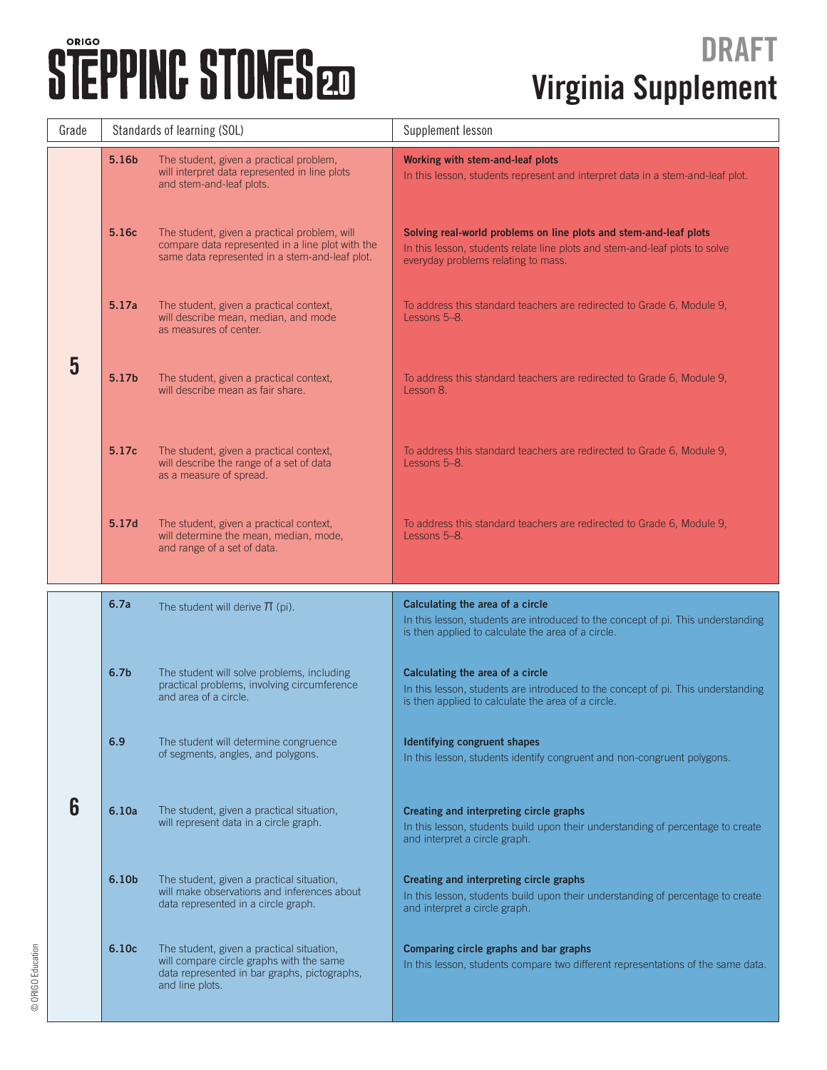| Grade | Standards of learning (SOL) |                                                                                                                                                          | Supplement lesson                                                                                                                                                                       |  |
|-------|-----------------------------|----------------------------------------------------------------------------------------------------------------------------------------------------------|-----------------------------------------------------------------------------------------------------------------------------------------------------------------------------------------|--|
|       | 5.16b                       | The student, given a practical problem,<br>will interpret data represented in line plots<br>and stem-and-leaf plots.                                     | Working with stem-and-leaf plots<br>In this lesson, students represent and interpret data in a stem-and-leaf plot.                                                                      |  |
|       | 5.16c                       | The student, given a practical problem, will<br>compare data represented in a line plot with the<br>same data represented in a stem-and-leaf plot.       | Solving real-world problems on line plots and stem-and-leaf plots<br>In this lesson, students relate line plots and stem-and-leaf plots to solve<br>everyday problems relating to mass. |  |
|       | 5.17a                       | The student, given a practical context,<br>will describe mean, median, and mode<br>as measures of center.                                                | To address this standard teachers are redirected to Grade 6, Module 9,<br>Lessons 5-8.                                                                                                  |  |
| 5     | 5.17b                       | The student, given a practical context,<br>will describe mean as fair share.                                                                             | To address this standard teachers are redirected to Grade 6, Module 9,<br>Lesson 8.                                                                                                     |  |
|       | 5.17c                       | The student, given a practical context,<br>will describe the range of a set of data<br>as a measure of spread.                                           | To address this standard teachers are redirected to Grade 6, Module 9,<br>Lessons 5-8.                                                                                                  |  |
|       | 5.17d                       | The student, given a practical context,<br>will determine the mean, median, mode,<br>and range of a set of data.                                         | To address this standard teachers are redirected to Grade 6, Module 9,<br>Lessons 5-8.                                                                                                  |  |
|       | 6.7a                        | The student will derive $\Pi$ (pi).                                                                                                                      | Calculating the area of a circle<br>In this lesson, students are introduced to the concept of pi. This understanding<br>is then applied to calculate the area of a circle.              |  |
|       | 6.7 <sub>b</sub>            | The student will solve problems, including<br>practical problems, involving circumference<br>and area of a circle.                                       | Calculating the area of a circle<br>In this lesson, students are introduced to the concept of pi. This understanding<br>is then applied to calculate the area of a circle.              |  |
|       | 6.9                         | The student will determine congruence<br>of segments, angles, and polygons.                                                                              | Identifying congruent shapes<br>In this lesson, students identify congruent and non-congruent polygons.                                                                                 |  |
| 6     | 6.10a                       | The student, given a practical situation,<br>will represent data in a circle graph.                                                                      | Creating and interpreting circle graphs<br>In this lesson, students build upon their understanding of percentage to create<br>and interpret a circle graph.                             |  |
|       | 6.10b                       | The student, given a practical situation,<br>will make observations and inferences about<br>data represented in a circle graph.                          | Creating and interpreting circle graphs<br>In this lesson, students build upon their understanding of percentage to create<br>and interpret a circle graph.                             |  |
|       | 6.10 <sub>c</sub>           | The student, given a practical situation,<br>will compare circle graphs with the same<br>data represented in bar graphs, pictographs,<br>and line plots. | Comparing circle graphs and bar graphs<br>In this lesson, students compare two different representations of the same data.                                                              |  |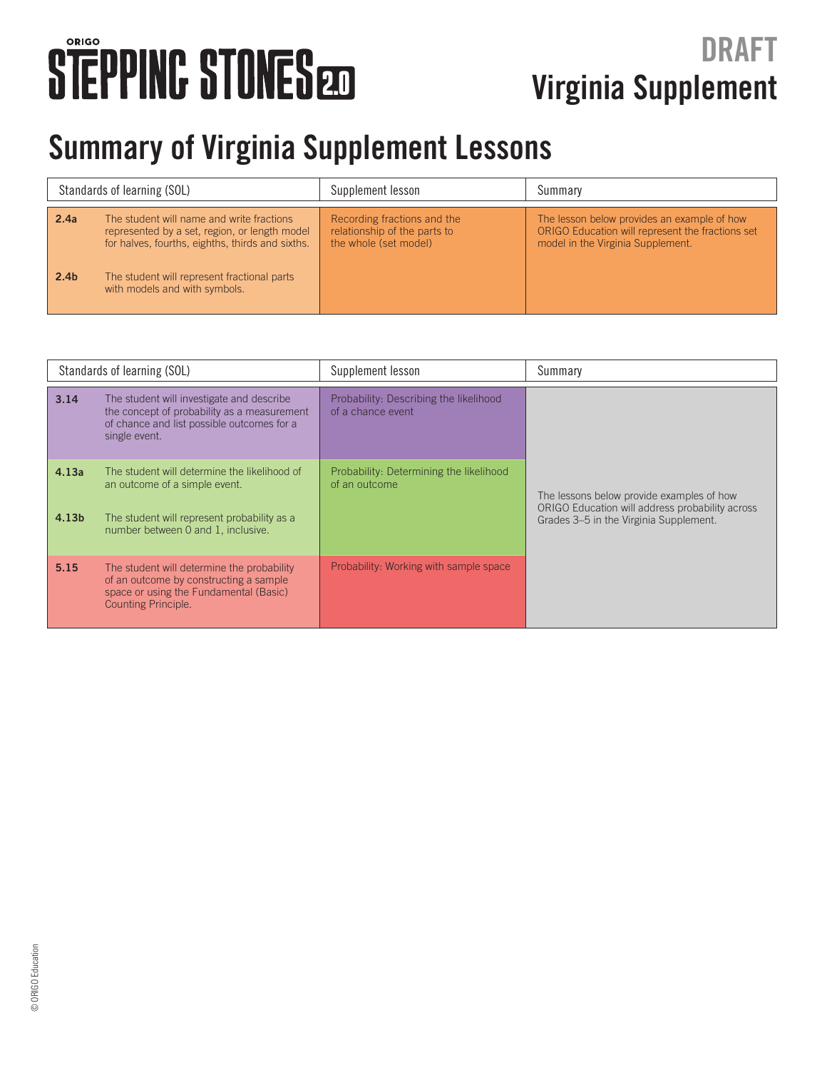#### **Virginia Supplement DRAFT**

#### **Summary of Virginia Supplement Lessons**

| Standards of learning (SOL) |                                                                                                                                                                                                                                | Supplement lesson                                                                    | Summary                                                                                                                              |
|-----------------------------|--------------------------------------------------------------------------------------------------------------------------------------------------------------------------------------------------------------------------------|--------------------------------------------------------------------------------------|--------------------------------------------------------------------------------------------------------------------------------------|
| 2.4a<br>2.4 <sub>b</sub>    | The student will name and write fractions<br>represented by a set, region, or length model<br>for halves, fourths, eighths, thirds and sixths.<br>The student will represent fractional parts<br>with models and with symbols. | Recording fractions and the<br>relationship of the parts to<br>the whole (set model) | The lesson below provides an example of how<br>ORIGO Education will represent the fractions set<br>model in the Virginia Supplement. |

| Standards of learning (SOL) |                                                                                                                                                                    | Supplement lesson                                           | Summary                                                                                                                                |
|-----------------------------|--------------------------------------------------------------------------------------------------------------------------------------------------------------------|-------------------------------------------------------------|----------------------------------------------------------------------------------------------------------------------------------------|
| 3.14                        | The student will investigate and describe<br>the concept of probability as a measurement<br>of chance and list possible outcomes for a<br>single event.            | Probability: Describing the likelihood<br>of a chance event |                                                                                                                                        |
| 4.13a<br>4.13 <sub>b</sub>  | The student will determine the likelihood of<br>an outcome of a simple event.<br>The student will represent probability as a<br>number between 0 and 1, inclusive. | Probability: Determining the likelihood<br>of an outcome    | The lessons below provide examples of how<br>ORIGO Education will address probability across<br>Grades 3-5 in the Virginia Supplement. |
| 5.15                        | The student will determine the probability<br>of an outcome by constructing a sample<br>space or using the Fundamental (Basic)<br>Counting Principle.              | Probability: Working with sample space                      |                                                                                                                                        |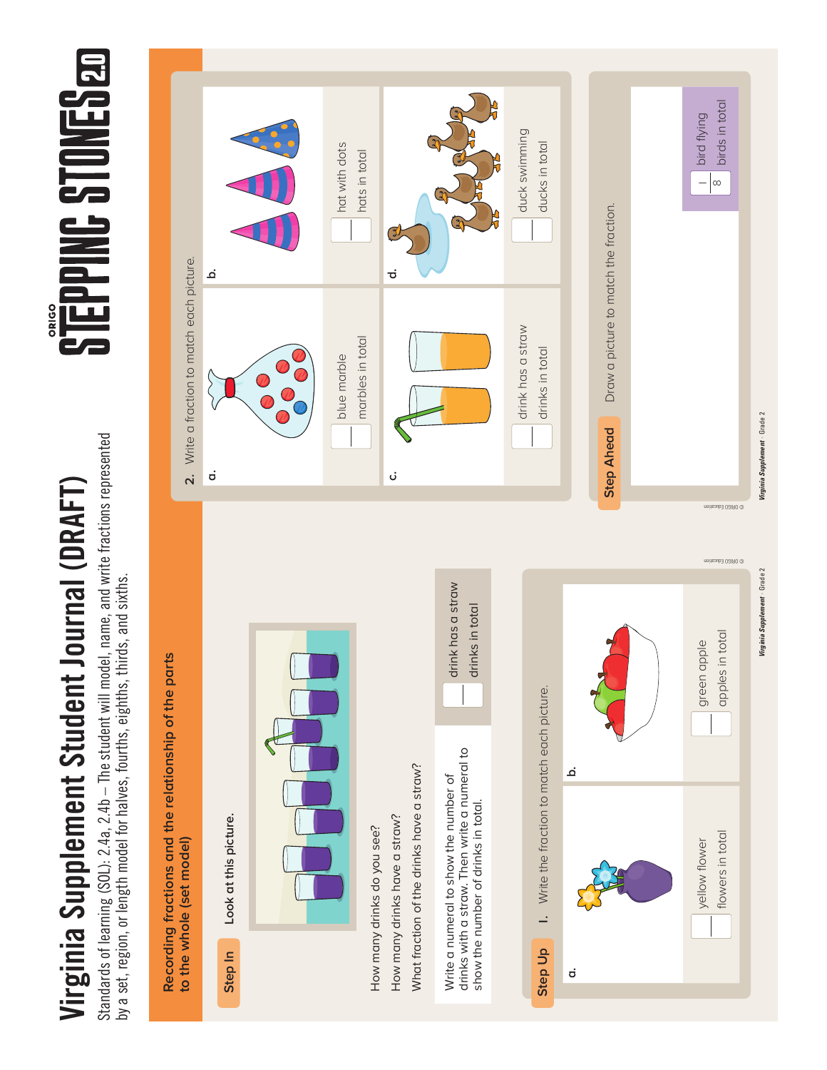Standards of learning (SOL): 2.4a, 2.4b – The student will model, name, and write fractions represented Standards of learning (SOL): 2.4a, 2.4b - The student will model, name, and write fractions represented by a set, region, or length model for halves, fourths, eighths, thirds, and sixths. by a set, region, or length model for halves, fourths, eighths, thirds, and sixths.



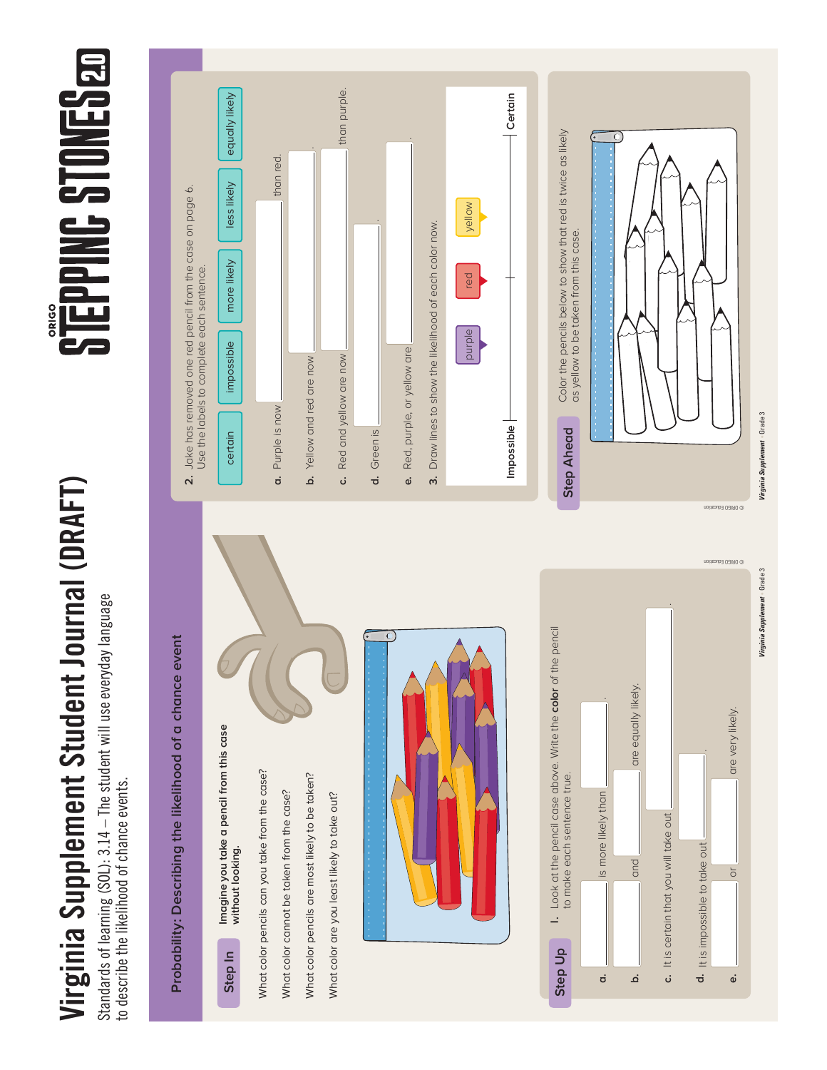Standards of learning (SOL): 3.14 – The student will use everyday language Standards of learning (SOL): 3.14 - The student will use everyday language to describe the likelihood of chance events. to describe the likelihood of chance events.



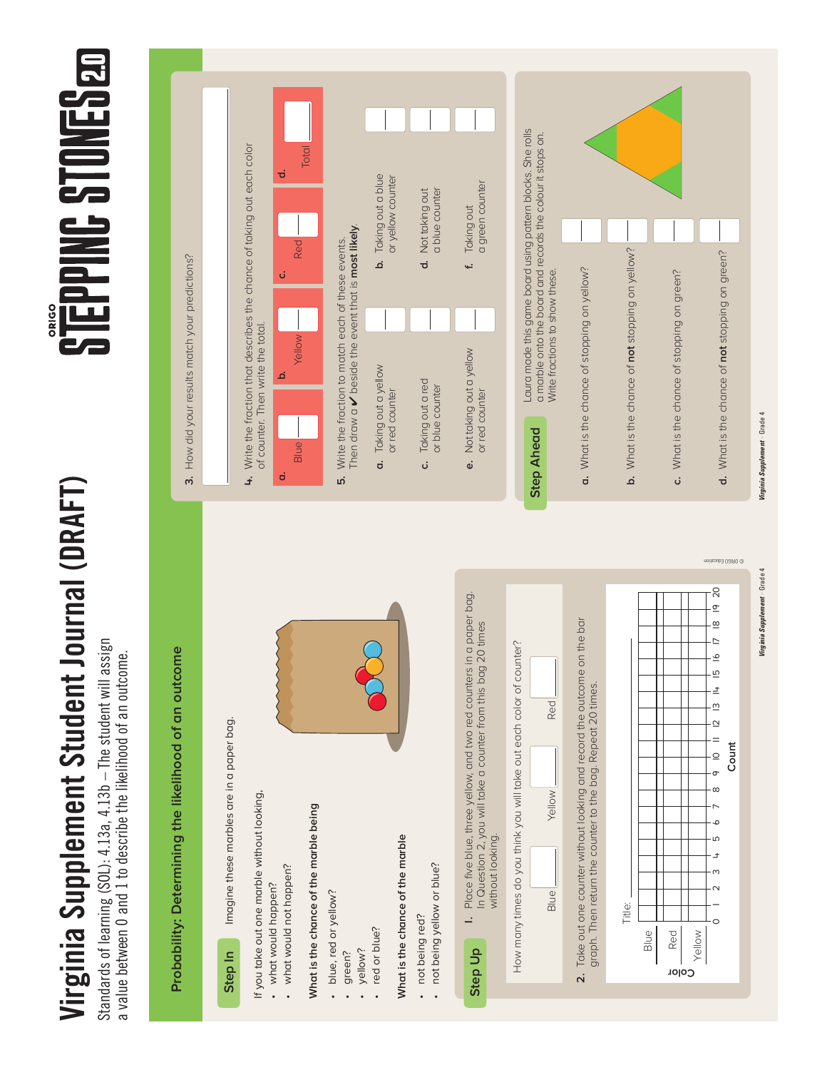Standards of learning (SOL): 4.13a, 4.13b – The student will assign Standards of learning (SOL): 4.13a, 4.13b – The student will assign a value between 0 and 1 to describe the likelihood of an outcome. a value between 0 and 1 to describe the likelihood of an outcome.